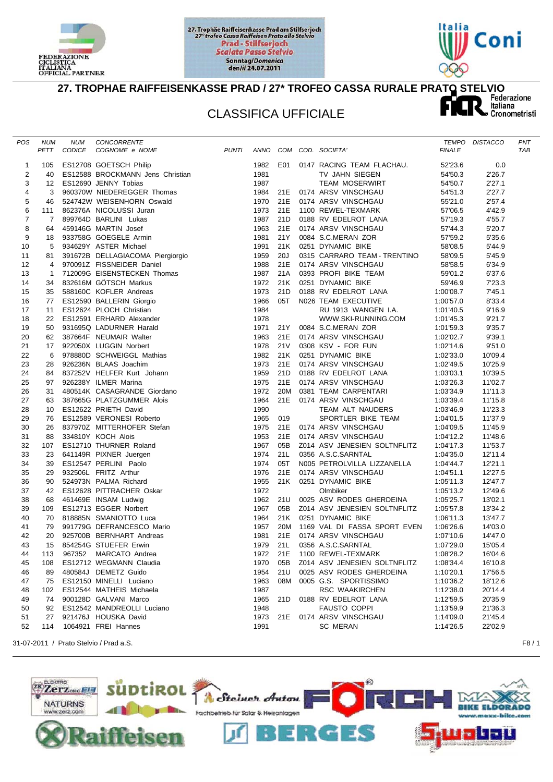





## 27. TROPHAE RAIFFEISENKASSE PRAD / 27<sup>\*</sup> TROFEO CASSA RURALE PRATO STELVIO<br>CLASSIFICA UFFICIALE

## CLASSIFICA UFFICIALE

| POS            | <b>NUM</b>   | <b>NUM</b> | CONCORRENTE                                                                                                                                                                                                                                                        |      |      |                              |               | TEMPO DISTACCO | PNT |
|----------------|--------------|------------|--------------------------------------------------------------------------------------------------------------------------------------------------------------------------------------------------------------------------------------------------------------------|------|------|------------------------------|---------------|----------------|-----|
|                | PETT         | CODICE     | <b>PUNTI</b><br>COGNOME e NOME                                                                                                                                                                                                                                     |      |      | ANNO COM COD. SOCIETA'       | <b>FINALE</b> |                | TAB |
|                |              |            |                                                                                                                                                                                                                                                                    |      |      |                              |               |                |     |
| 1              | 105          |            | ES12708 GOETSCH Philip                                                                                                                                                                                                                                             | 1982 | E01  | 0147 RACING TEAM FLACHAU.    | 52'23.6       | 0.0            |     |
| $\overline{c}$ | 40           |            | ES12588 BROCKMANN Jens Christian                                                                                                                                                                                                                                   | 1981 |      | TV JAHN SIEGEN               | 54'50.3       | 2'26.7         |     |
| 3              | 12           |            | ES12690 JENNY Tobias<br>LOTING MINITAL THE CONSTRUCTED SCREEP SCREEP Than 95023764 NICOLUSSI Juran<br>890370W NIEDEREGGER Thomas<br>89764D BARLINI Lukas<br>499764D BARLINI Lukas<br>493758G GOEGELE Armin<br>934629Y ASTER Michael<br>391672B DELLAGIACOMA Piergi | 1987 |      | <b>TEAM MOSERWIRT</b>        | 54'50.7       | 2'27.1         |     |
| $\overline{4}$ | 3            |            |                                                                                                                                                                                                                                                                    | 1984 | 21E  | 0174 ARSV VINSCHGAU          | 54'51.3       | 2'27.7         |     |
| 5              | 46           |            |                                                                                                                                                                                                                                                                    | 1970 | 21E  | 0174 ARSV VINSCHGAU          | 55'21.0       | 2'57.4         |     |
| 6              | 111          |            |                                                                                                                                                                                                                                                                    | 1973 | 21E  | 1100 REWEL-TEXMARK           | 57'06.5       | 4'42.9         |     |
| $\overline{7}$ | 7            |            |                                                                                                                                                                                                                                                                    | 1987 | 21D  | 0188 RV EDELROT LANA         | 57'19.3       | 4'55.7         |     |
| 8              | 64           |            |                                                                                                                                                                                                                                                                    | 1963 | 21E  | 0174 ARSV VINSCHGAU          | 57'44.3       | 5'20.7         |     |
| 9              | 18           |            |                                                                                                                                                                                                                                                                    | 1981 | 21Y  | 0084 S.C.MERAN ZOR           | 57'59.2       | 5'35.6         |     |
| 10             | 5            |            |                                                                                                                                                                                                                                                                    | 1991 | 21K  | 0251 DYNAMIC BIKE            | 58'08.5       | 5'44.9         |     |
| 11             | 81           |            |                                                                                                                                                                                                                                                                    | 1959 | 20J  | 0315 CARRARO TEAM - TRENTINO | 58'09.5       | 5'45.9         |     |
| 12             | 4            |            |                                                                                                                                                                                                                                                                    | 1988 | 21E  | 0174 ARSV VINSCHGAU          | 58'58.5       | 6'34.9         |     |
| 13             | $\mathbf{1}$ |            |                                                                                                                                                                                                                                                                    | 1987 | 21A  | 0393 PROFI BIKE TEAM         | 59'01.2       | 6'37.6         |     |
| 14             | 34           |            |                                                                                                                                                                                                                                                                    | 1972 | 21K  | 0251 DYNAMIC BIKE            | 59'46.9       | 7'23.3         |     |
| 15             | 35           |            |                                                                                                                                                                                                                                                                    | 1973 | 21D  | 0188 RV EDELROT LANA         | 1:00'08.7     | 7'45.1         |     |
| 16             | 77           |            |                                                                                                                                                                                                                                                                    | 1966 | 05T  | N026 TEAM EXECUTIVE          | 1:00'57.0     | 8'33.4         |     |
| 17             | 11           |            |                                                                                                                                                                                                                                                                    | 1984 |      | RU 1913 WANGEN I.A.          | 1:01'40.5     | 9'16.9         |     |
| 18             | 22           |            |                                                                                                                                                                                                                                                                    | 1978 |      | WWW.SKI-RUNNING.COM          | 1:01'45.3     | 9'21.7         |     |
| 19             | 50           |            |                                                                                                                                                                                                                                                                    | 1971 | 21 Y | 0084 S.C.MERAN ZOR           | 1:01'59.3     | 9'35.7         |     |
| 20             | 62           |            |                                                                                                                                                                                                                                                                    | 1963 | 21E  | 0174 ARSV VINSCHGAU          | 1:02'02.7     | 9'39.1         |     |
| 21             | 17           |            |                                                                                                                                                                                                                                                                    | 1978 | 21V  | 0308 KSV - FOR FUN           | 1:02'14.6     | 9'51.0         |     |
| 22             | 6            |            |                                                                                                                                                                                                                                                                    | 1982 | 21K  | 0251 DYNAMIC BIKE            | 1:02'33.0     | 10'09.4        |     |
| 23             | 28           |            |                                                                                                                                                                                                                                                                    | 1973 | 21E  | 0174 ARSV VINSCHGAU          | 1:02'49.5     | 10'25.9        |     |
| 24             | 84           |            |                                                                                                                                                                                                                                                                    | 1959 | 21D  | 0188 RV EDELROT LANA         | 1:03'03.1     | 10'39.5        |     |
| 25             | 97           |            | 926238Y ILMER Marina                                                                                                                                                                                                                                               | 1975 | 21E  | 0174 ARSV VINSCHGAU          | 1:03'26.3     | 11'02.7        |     |
| 26             | 31           |            | 926238Y ILMER Marina<br>480514K CASAGRANDE Giordano<br>387665G PLATZGUMMER Alois<br>ES12622 PRIETH David<br>ES12589 VERONESI Roberto<br>837970Z MITTERHOFER Stefan<br>334810Y KOCH Alois<br>ES12710 THURNER Roland<br>641149R PIXNER Juergen<br>                   | 1972 | 20M  | 0381 TEAM CARPENTARI         | 1:03'34.9     | 11'11.3        |     |
| 27             | 63           |            |                                                                                                                                                                                                                                                                    | 1964 | 21E  | 0174 ARSV VINSCHGAU          | 1:03'39.4     | 11'15.8        |     |
| 28             | 10           |            |                                                                                                                                                                                                                                                                    | 1990 |      | TEAM ALT NAUDERS             | 1:03'46.9     | 11'23.3        |     |
| 29             | 76           |            |                                                                                                                                                                                                                                                                    | 1965 | 019  | SPORTLER BIKE TEAM           | 1:04'01.5     | 11'37.9        |     |
| 30             | 26           |            |                                                                                                                                                                                                                                                                    | 1975 | 21E  | 0174 ARSV VINSCHGAU          | 1:04'09.5     | 11'45.9        |     |
| 31             | 88           |            |                                                                                                                                                                                                                                                                    | 1953 | 21E  | 0174 ARSV VINSCHGAU          | 1:04'12.2     | 11'48.6        |     |
| 32             | 107          |            |                                                                                                                                                                                                                                                                    | 1967 | 05B  | Z014 ASV JENESIEN SOLTNFLITZ | 1:04'17.3     | 11'53.7        |     |
| 33             | 23           |            |                                                                                                                                                                                                                                                                    | 1974 | 21L  | 0356 A.S.C.SARNTAL           | 1:04'35.0     | 12'11.4        |     |
| 34             | 39           |            |                                                                                                                                                                                                                                                                    | 1974 | 05T  | N005 PETROLVILLA LIZZANELLA  | 1:04'44.7     | 12'21.1        |     |
| 35             | 29           |            |                                                                                                                                                                                                                                                                    | 1976 | 21E  | 0174 ARSV VINSCHGAU          | 1:04'51.1     | 12'27.5        |     |
| 36             | 90           |            |                                                                                                                                                                                                                                                                    | 1955 | 21K  | 0251 DYNAMIC BIKE            | 1:05'11.3     | 12'47.7        |     |
| 37             | 42           |            |                                                                                                                                                                                                                                                                    | 1972 |      | Olmbiker                     | 1:05'13.2     | 12'49.6        |     |
| 38             | 68           |            |                                                                                                                                                                                                                                                                    | 1962 | 21U  | 0025 ASV RODES GHERDEINA     | 1:05'25.7     | 13'02.1        |     |
| 39             | 109          |            |                                                                                                                                                                                                                                                                    | 1967 | 05B  | Z014 ASV JENESIEN SOLTNFLITZ | 1:05'57.8     | 13'34.2        |     |
| 40             | 70           |            |                                                                                                                                                                                                                                                                    | 1964 | 21K  | 0251 DYNAMIC BIKE            | 1:06'11.3     | 13'47.7        |     |
| 41             | 79           |            |                                                                                                                                                                                                                                                                    | 1957 | 20M  | 1169 VAL DI FASSA SPORT EVEN | 1:06'26.6     | 14'03.0        |     |
| 42             | 20           |            | 925700B BERNHART Andreas                                                                                                                                                                                                                                           | 1981 | 21E  | 0174 ARSV VINSCHGAU          | 1:07'10.6     | 14'47.0        |     |
| 43             | 15           |            | 854254G STUEFER Erwin                                                                                                                                                                                                                                              | 1979 | 21L  | 0356 A.S.C.SARNTAL           | 1:07'29.0     | 15'05.4        |     |
| 44             | 113          |            | 967352 MARCATO Andrea                                                                                                                                                                                                                                              | 1972 | 21E  | 1100 REWEL-TEXMARK           | 1:08'28.2     | 16'04.6        |     |
| 45             | 108          |            | ES12712 WEGMANN Claudia                                                                                                                                                                                                                                            | 1970 | 05B  | Z014 ASV JENESIEN SOLTNFLITZ | 1:08'34.4     | 16'10.8        |     |
| 46             | 89           |            | 480584J DEMETZ Guido                                                                                                                                                                                                                                               | 1954 | 21U  | 0025 ASV RODES GHERDEINA     | 1:10'20.1     | 17'56.5        |     |
| 47             | 75           |            | ES12150 MINELLI Luciano                                                                                                                                                                                                                                            | 1963 | 08M  | 0005 G.S. SPORTISSIMO        | 1:10'36.2     | 18'12.6        |     |
|                |              |            |                                                                                                                                                                                                                                                                    |      |      |                              | 1:12'38.0     |                |     |
| 48             | 102          |            | ES12544 MATHEIS Michaela                                                                                                                                                                                                                                           | 1987 |      | RSC WAAKIRCHEN               |               | 20'14.4        |     |
| 49             | 74           |            | 900128D GALVANI Marco                                                                                                                                                                                                                                              | 1965 | 21D  | 0188 RV EDELROT LANA         | 1:12'59.5     | 20'35.9        |     |
| 50             | 92           |            | ES12542 MANDREOLLI Luciano                                                                                                                                                                                                                                         | 1948 |      | <b>FAUSTO COPPI</b>          | 1:13'59.9     | 21'36.3        |     |
| 51             | 27           |            | 921476J HOUSKA David                                                                                                                                                                                                                                               | 1973 | 21E  | 0174 ARSV VINSCHGAU          | 1:14'09.0     | 21'45.4        |     |
| 52             | 114          |            | 1064921 FREI Hannes                                                                                                                                                                                                                                                | 1991 |      | <b>SC MERAN</b>              | 1:14'26.5     | 22'02.9        |     |
|                |              |            |                                                                                                                                                                                                                                                                    |      |      |                              |               |                |     |

31-07-2011 / Prato Stelvio / Prad a.S. F8 / 1

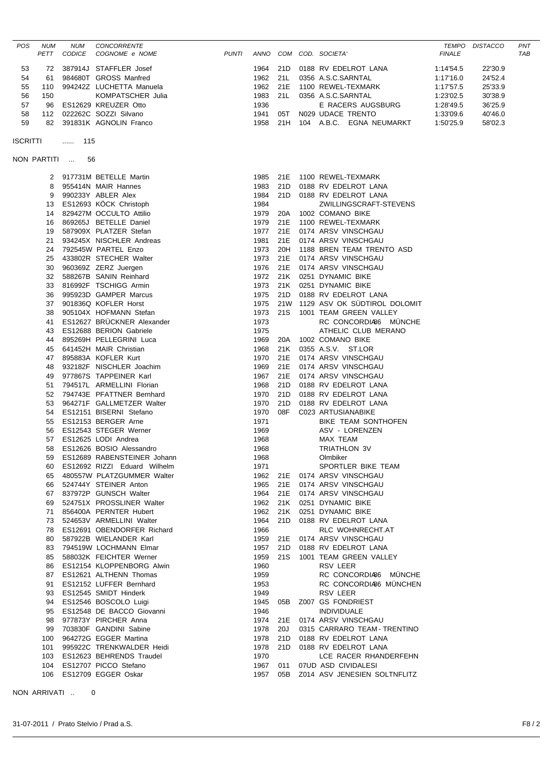|             | <b>NUM</b><br>PETT | <b>NUM</b><br>CODICE | <b>CONCORRENTE</b><br>COGNOME e NOME                  | <b>PUNTI</b> |              |     | ANNO COM COD. SOCIETA'                        | <b>FINALE</b> | TEMPO DISTACCO | PNT<br>TAB |
|-------------|--------------------|----------------------|-------------------------------------------------------|--------------|--------------|-----|-----------------------------------------------|---------------|----------------|------------|
| 53          | 72                 |                      | 387914J STAFFLER Josef                                |              | 1964         | 21D | 0188 RV EDELROT LANA                          | 1:14'54.5     | 22'30.9        |            |
| 54          | 61                 |                      | 984680T GROSS Manfred                                 |              | 1962         | 21L | 0356 A.S.C.SARNTAL                            | 1:17'16.0     | 24'52.4        |            |
| 55          | 110                |                      | 994242Z LUCHETTA Manuela                              |              | 1962         | 21E | 1100 REWEL-TEXMARK                            | 1:17'57.5     | 25'33.9        |            |
| 56          | 150                |                      | KOMPATSCHER Julia                                     |              | 1983         | 21L | 0356 A.S.C.SARNTAL                            | 1:23'02.5     | 30'38.9        |            |
| 57          | 96                 |                      | ES12629 KREUZER Otto                                  |              | 1936         |     | E RACERS AUGSBURG                             | 1:28'49.5     | 36'25.9        |            |
| 58          |                    |                      | 112 022262C SOZZI Silvano                             |              | 1941         | 05T | N029 UDACE TRENTO                             | 1:33'09.6     | 40'46.0        |            |
| 59          | 82                 |                      | 391831K AGNOLIN Franco                                |              | 1958         |     | 21H 104 A.B.C. EGNA NEUMARKT                  | 1:50'25.9     | 58'02.3        |            |
| ISCRITTI    |                    | $$ 115               |                                                       |              |              |     |                                               |               |                |            |
| NON PARTITI |                    | 56                   |                                                       |              |              |     |                                               |               |                |            |
|             |                    |                      | 2 917731M BETELLE Martin                              |              |              |     | 1985 21E 1100 REWEL-TEXMARK                   |               |                |            |
|             | 8                  |                      | 955414N MAIR Hannes                                   |              | 1983         |     | 21D 0188 RV EDELROT LANA                      |               |                |            |
|             | 9                  |                      | 990233Y ABLER Alex                                    |              | 1984         |     | 21D 0188 RV EDELROT LANA                      |               |                |            |
|             | 13                 |                      | ES12693 KÖCK Christoph                                |              | 1984         |     | ZWILLINGSCRAFT-STEVENS                        |               |                |            |
|             | 14                 |                      | 829427M OCCULTO Attilio                               |              | 1979         | 20A | 1002 COMANO BIKE                              |               |                |            |
|             | 16                 |                      | 869265J BETELLE Daniel<br>587909X PLATZER Stefan      |              | 1979         | 21E | 1100 REWEL-TEXMARK<br>21E 0174 ARSV VINSCHGAU |               |                |            |
|             | 19<br>21           |                      | 934245X NISCHLER Andreas                              |              | 1977<br>1981 | 21E | 0174 ARSV VINSCHGAU                           |               |                |            |
|             | 24                 |                      | 792545W PARTEL Enzo                                   |              | 1973         | 20H | 1188 BREN TEAM TRENTO ASD                     |               |                |            |
|             | 25                 |                      | 433802R STECHER Walter                                |              | 1973         | 21E | 0174 ARSV VINSCHGAU                           |               |                |            |
|             | 30                 |                      | 960369Z ZERZ Juergen                                  |              | 1976         | 21E | 0174 ARSV VINSCHGAU                           |               |                |            |
|             | 32                 |                      | 588267B SANIN Reinhard                                |              | 1972         | 21K | 0251 DYNAMIC BIKE                             |               |                |            |
|             | 33                 |                      | 816992F TSCHIGG Armin                                 |              | 1973         |     | 21K 0251 DYNAMIC BIKE                         |               |                |            |
|             | 36                 |                      | 995923D GAMPER Marcus                                 |              | 1975         | 21D | 0188 RV EDELROT LANA                          |               |                |            |
|             | 37                 |                      | 901836Q KOFLER Horst                                  |              | 1975         |     | 21W 1129 ASV OK SUDTIROL DOLOMIT              |               |                |            |
|             | 38                 |                      | 905104X HOFMANN Stefan                                |              | 1973         | 21S | 1001 TEAM GREEN VALLEY                        |               |                |            |
|             | 41                 |                      | ES12627 BRÜCKNER Alexander<br>ES12688 BERION Gabriele |              | 1973<br>1975 |     | RC CONCORDIA86 MUNCHE<br>ATHELIC CLUB MERANO  |               |                |            |
|             | 43<br>44           |                      | 895269H PELLEGRINI Luca                               |              | 1969         | 20A | 1002 COMANO BIKE                              |               |                |            |
|             | 45                 |                      | 641452H MAIR Christian                                |              | 1968         |     | 21K 0355 A.S.V. ST.LOR                        |               |                |            |
|             | 47                 |                      | 895883A KOFLER Kurt                                   |              | 1970         | 21E | 0174 ARSV VINSCHGAU                           |               |                |            |
|             | 48                 |                      | 932182F NISCHLER Joachim                              |              | 1969         | 21E | 0174 ARSV VINSCHGAU                           |               |                |            |
|             | 49                 |                      | 977867S TAPPEINER Karl                                |              | 1967         | 21E | 0174 ARSV VINSCHGAU                           |               |                |            |
|             | 51                 |                      | 794517L ARMELLINI Florian                             |              | 1968         | 21D | 0188 RV EDELROT LANA                          |               |                |            |
|             | 52                 |                      | 794743E PFATTNER Bernhard                             |              | 1970         | 21D | 0188 RV EDELROT LANA                          |               |                |            |
|             | 53                 |                      | 964271F GALLMETZER Walter                             |              | 1970         | 21D | 0188 RV EDELROT LANA                          |               |                |            |
|             | 54<br>55           |                      | ES12151 BISERNI Stefano<br>ES12153 BERGER Arne        |              | 1970<br>1971 | 08F | C023 ARTUSIANABIKE                            |               |                |            |
|             | 56                 |                      | ES12543 STEGER Werner                                 |              | 1969         |     | BIKE TEAM SONTHOFEN<br>ASV - LORENZEN         |               |                |            |
|             | 57                 |                      | ES12625 LODI Andrea                                   |              | 1968         |     | MAX TEAM                                      |               |                |            |
|             | 58                 |                      | ES12626 BOSIO Alessandro                              |              | 1968         |     | TRIATHLON 3V                                  |               |                |            |
|             | 59                 |                      | ES12689 RABENSTEINER Johann                           |              | 1968         |     | Olmbiker                                      |               |                |            |
|             | 60                 |                      | ES12692 RIZZI Eduard Wilhelm                          |              | 1971         |     | SPORTLER BIKE TEAM                            |               |                |            |
|             | 65                 |                      | 480557W PLATZGUMMER Walter                            |              | 1962         | 21E | 0174 ARSV VINSCHGAU                           |               |                |            |
|             | 66                 |                      | 524744Y STEINER Anton                                 |              | 1965         | 21E | 0174 ARSV VINSCHGAU                           |               |                |            |
|             | 67                 |                      | 837972P GUNSCH Walter                                 |              | 1964         |     | 21E 0174 ARSV VINSCHGAU                       |               |                |            |
|             | 69                 |                      | 524751X PROSSLINER Walter                             |              | 1962<br>1962 |     | 21K 0251 DYNAMIC BIKE                         |               |                |            |
|             | 71<br>73           |                      | 856400A PERNTER Hubert<br>524653V ARMELLINI Walter    |              | 1964         | 21D | 21K 0251 DYNAMIC BIKE<br>0188 RV EDELROT LANA |               |                |            |
|             | 78                 |                      | ES12691 OBENDORFER Richard                            |              | 1966         |     | RLC WOHNRECHT.AT                              |               |                |            |
|             | 80                 |                      | 587922B WIELANDER Karl                                |              | 1959         |     | 21E 0174 ARSV VINSCHGAU                       |               |                |            |
|             | 83                 |                      | 794519W LOCHMANN Elmar                                |              | 1957         |     | 21D 0188 RV EDELROT LANA                      |               |                |            |
|             | 85                 |                      | 588032K FEICHTER Werner                               |              | 1959         | 21S | 1001 TEAM GREEN VALLEY                        |               |                |            |
|             | 86                 |                      | ES12154 KLOPPENBORG Alwin                             |              | 1960         |     | RSV LEER                                      |               |                |            |
|             | 87                 |                      | ES12621 ALTHENN Thomas                                |              | 1959         |     | RC CONCORDIA66 MUNCHE                         |               |                |            |
|             | 91                 |                      | ES12152 LUFFER Bernhard                               |              | 1953         |     | RC CONCORDIA66 MÜNCHEN                        |               |                |            |
|             | 93                 |                      | ES12545 SMIDT Hinderk                                 |              | 1949         |     | RSV LEER                                      |               |                |            |
|             | 94                 |                      | ES12546 BOSCOLO Luigi                                 |              | 1945         | 05B | Z007 GS FONDRIEST                             |               |                |            |
|             | 95<br>98           |                      | ES12548 DE BACCO Giovanni<br>977873Y PIRCHER Anna     |              | 1946<br>1974 | 21E | <b>INDIVIDUALE</b><br>0174 ARSV VINSCHGAU     |               |                |            |
|             | 99                 |                      | 703830F GANDINI Sabine                                |              | 1978         | 20J | 0315 CARRARO TEAM - TRENTINO                  |               |                |            |
|             | 100                |                      | 964272G EGGER Martina                                 |              | 1978         |     | 21D 0188 RV EDELROT LANA                      |               |                |            |
|             | 101                |                      | 995922C TRENKWALDER Heidi                             |              | 1978         |     | 21D 0188 RV EDELROT LANA                      |               |                |            |
|             | 103                |                      | ES12623 BEHRENDS Traudel                              |              | 1970         |     | LCE RACER RHANDERFEHN                         |               |                |            |
|             | 104                |                      | ES12707 PICCO Stefano                                 |              | 1967         | 011 | 07UD ASD CIVIDALESI                           |               |                |            |
|             | 106                |                      | ES12709 EGGER Oskar                                   |              | 1957         | 05B | Z014 ASV JENESIEN SOLTNFLITZ                  |               |                |            |

NON ARRIVATI .. 0